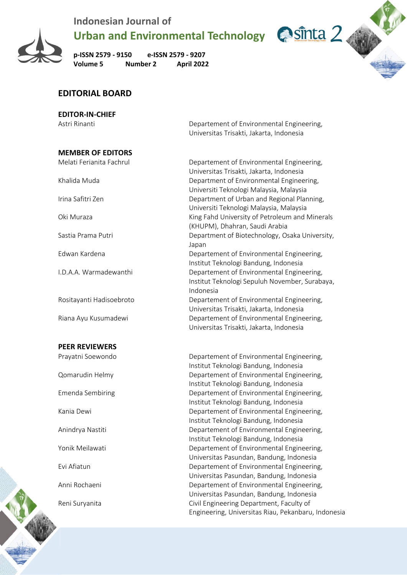

**Urban and Environmental Technology Casabilities** 2

**p-ISSN 2579 - 9150 e-ISSN 2579 - 9207 Volume 5 Number 2 April 2022**

#### **EDITORIAL BOARD**

#### **EDITOR-IN-CHIEF**

Astri Rinanti **Netwitted Engineering**, Departement of Environmental Engineering, Universitas Trisakti, Jakarta, Indonesia

| <b>MEMBER OF EDITORS</b> |                                                                                                          |
|--------------------------|----------------------------------------------------------------------------------------------------------|
| Melati Ferianita Fachrul | Departement of Environmental Engineering,<br>Universitas Trisakti, Jakarta, Indonesia                    |
| Khalida Muda             | Department of Environmental Engineering,<br>Universiti Teknologi Malaysia, Malaysia                      |
| Irina Safitri Zen        | Department of Urban and Regional Planning,<br>Universiti Teknologi Malaysia, Malaysia                    |
| Oki Muraza               | King Fahd University of Petroleum and Minerals<br>(KHUPM), Dhahran, Saudi Arabia                         |
| Sastia Prama Putri       | Department of Biotechnology, Osaka University,<br>Japan                                                  |
| Edwan Kardena            | Departement of Environmental Engineering,<br>Institut Teknologi Bandung, Indonesia                       |
| I.D.A.A. Warmadewanthi   | Departement of Environmental Engineering,<br>Institut Teknologi Sepuluh November, Surabaya,<br>Indonesia |
| Rositayanti Hadisoebroto | Departement of Environmental Engineering,<br>Universitas Trisakti, Jakarta, Indonesia                    |
| Riana Ayu Kusumadewi     | Departement of Environmental Engineering,<br>Universitas Trisakti, Jakarta, Indonesia                    |
| <b>PEER REVIEWERS</b>    |                                                                                                          |
|                          |                                                                                                          |

Prayatni Soewondo Departement of Environmental Engineering, Institut Teknologi Bandung, Indonesia Qomarudin Helmy Departement of Environmental Engineering, Institut Teknologi Bandung, Indonesia Emenda Sembiring The Separtement of Environmental Engineering, Institut Teknologi Bandung, Indonesia Kania Dewi **Engineering**, **Conserversity** Departement of Environmental Engineering, Institut Teknologi Bandung, Indonesia Anindrya Nastiti **Departement of Environmental Engineering**, Institut Teknologi Bandung, Indonesia Yonik Meilawati **New Yonic Meilawati** Departement of Environmental Engineering, Universitas Pasundan, Bandung, Indonesia Evi Afiatun Departement of Environmental Engineering, Universitas Pasundan, Bandung, Indonesia Anni Rochaeni **Departement of Environmental Engineering**, Universitas Pasundan, Bandung, Indonesia Reni Suryanita Civil Engineering Department, Faculty of Engineering, Universitas Riau, Pekanbaru, Indonesia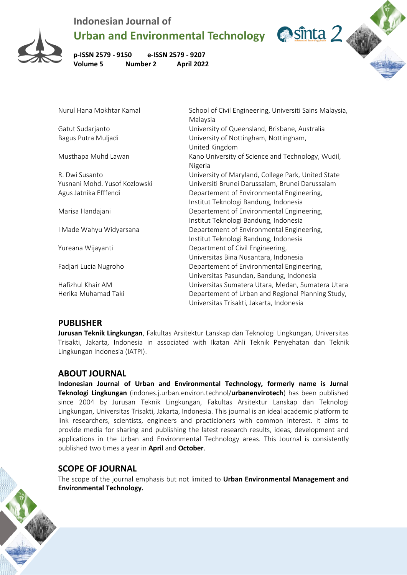

Urban and Environmental Technology **Constructed 2** 

**p-ISSN 2579 - 9150 e-ISSN 2579 - 9207 Volume 5** 

| $P-13311 2373 - 3130$ $P-13311 2373 - 3207$<br>Volume 5<br><b>Number 2</b> | <b>April 2022</b>                                                                  |  |
|----------------------------------------------------------------------------|------------------------------------------------------------------------------------|--|
|                                                                            |                                                                                    |  |
| Nurul Hana Mokhtar Kamal                                                   | School of Civil Engineering, Universiti Sains Malaysia,<br>Malaysia                |  |
| Gatut Sudarjanto                                                           | University of Queensland, Brisbane, Australia                                      |  |
| Bagus Putra Muljadi                                                        | University of Nottingham, Nottingham,<br>United Kingdom                            |  |
| Musthapa Muhd Lawan                                                        | Kano University of Science and Technology, Wudil,<br>Nigeria                       |  |
| R. Dwi Susanto                                                             | University of Maryland, College Park, United State                                 |  |
| Yusnani Mohd. Yusof Kozlowski                                              | Universiti Brunei Darussalam, Brunei Darussalam                                    |  |
| Agus Jatnika Efffendi                                                      | Departement of Environmental Engineering,<br>Institut Teknologi Bandung, Indonesia |  |
| Marisa Handajani                                                           | Departement of Environmental Engineering,<br>Institut Teknologi Bandung, Indonesia |  |
| I Made Wahyu Widyarsana                                                    | Departement of Environmental Engineering,<br>Institut Teknologi Bandung, Indonesia |  |
| Yureana Wijayanti                                                          | Department of Civil Engineering,<br>Universitas Bina Nusantara, Indonesia          |  |
| Fadjari Lucia Nugroho                                                      | Departement of Environmental Engineering,                                          |  |

Hafizhul Khair AM Universitas Sumatera Utara, Medan, Sumatera Utara Herika Muhamad Taki **Departement of Urban and Regional Planning Study**, Universitas Trisakti, Jakarta, Indonesia

Universitas Pasundan, Bandung, Indonesia

#### **PUBLISHER**

**Jurusan Teknik Lingkungan**, Fakultas Arsitektur Lanskap dan Teknologi Lingkungan, Universitas Trisakti, Jakarta, Indonesia in associated with Ikatan Ahli Teknik Penyehatan dan Teknik Lingkungan Indonesia (IATPI).

#### **ABOUT JOURNAL**

**Indonesian Journal of Urban and Environmental Technology, formerly name is Jurnal Teknologi Lingkungan** (indones.j.urban.environ.technol/**urbanenvirotech**) has been published since 2004 by Jurusan Teknik Lingkungan, Fakultas Arsitektur Lanskap dan Teknologi Lingkungan, Universitas Trisakti, Jakarta, Indonesia. This journal is an ideal academic platform to link researchers, scientists, engineers and practicioners with common interest. It aims to provide media for sharing and publishing the latest research results, ideas, development and applications in the Urban and Environmental Technology areas. This Journal is consistently published two times a year in **April** and **October**.

## **SCOPE OF JOURNAL**

The scope of the journal emphasis but not limited to **Urban Environmental Management and Environmental Technology.**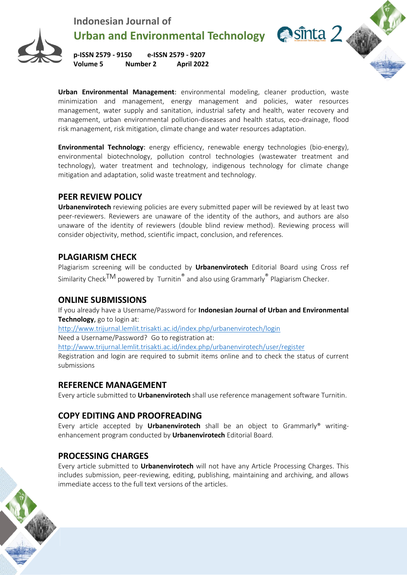

Urban and Environmental Technology **Castilla 2** 

**p-ISSN 2579 - 9150 e-ISSN 2579 - 9207 Volume 5 Number 2 April 2022**

**Urban Environmental Management**: environmental modeling, cleaner production, waste minimization and management, energy management and policies, water resources management, water supply and sanitation, industrial safety and health, water recovery and management, urban environmental pollution-diseases and health status, eco-drainage, flood risk management, risk mitigation, climate change and water resources adaptation.

**Environmental Technology**: energy efficiency, renewable energy technologies (bio-energy), environmental biotechnology, pollution control technologies (wastewater treatment and technology), water treatment and technology, indigenous technology for climate change mitigation and adaptation, solid waste treatment and technology.

#### **PEER REVIEW POLICY**

**Urbanenvirotech** reviewing policies are every submitted paper will be reviewed by at least two peer-reviewers. Reviewers are unaware of the identity of the authors, and authors are also unaware of the identity of reviewers (double blind review method). Reviewing process will consider objectivity, method, scientific impact, conclusion, and references.

## **PLAGIARISM CHECK**

Plagiarism screening will be conducted by **Urbanenvirotech** Editorial Board using Cross ref Similarity Check<sup>TM</sup> powered by Turnitin<sup>®</sup> and also using Grammarly<sup>®</sup> Plagiarism Checker.

#### **ONLINE SUBMISSIONS**

If you already have a Username/Password for **Indonesian Journal of Urban and Environmental Technology**, go to login at:

<http://www.trijurnal.lemlit.trisakti.ac.id/index.php/urbanenvirotech/login>

Need a Username/Password? Go to registration at:

<http://www.trijurnal.lemlit.trisakti.ac.id/index.php/urbanenvirotech/user/register>

Registration and login are required to submit items online and to check the status of current submissions

## **REFERENCE MANAGEMENT**

Every article submitted to **Urbanenvirotech** shall use reference management software Turnitin.

# **COPY EDITING AND PROOFREADING**

Every article accepted by **Urbanenvirotech** shall be an object to Grammarly® writingenhancement program conducted by **Urbanenvirotech** Editorial Board.

# **PROCESSING CHARGES**

Every article submitted to **Urbanenvirotech** will not have any Article Processing Charges. This includes submission, peer-reviewing, editing, publishing, maintaining and archiving, and allows immediate access to the full text versions of the articles.